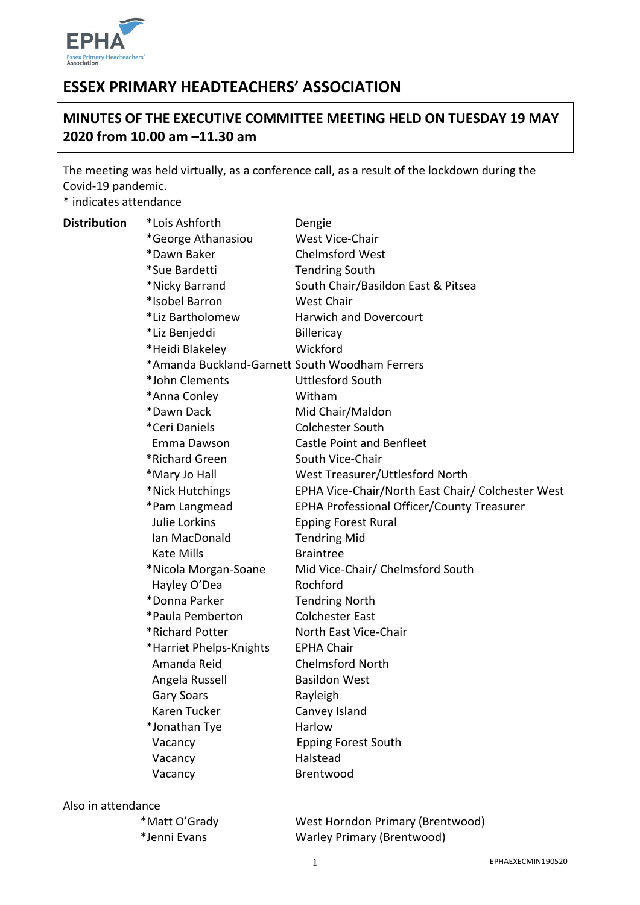

# **ESSEX PRIMARY HEADTEACHERS' ASSOCIATION**

# **MINUTES OF THE EXECUTIVE COMMITTEE MEETING HELD ON TUESDAY 19 MAY 2020 from 10.00 am –11.30 am**

The meeting was held virtually, as a conference call, as a result of the lockdown during the Covid-19 pandemic.

\* indicates attendance

| <b>Distribution</b> | *Lois Ashforth                                 | Dengie                                            |
|---------------------|------------------------------------------------|---------------------------------------------------|
|                     | *George Athanasiou                             | West Vice-Chair                                   |
|                     | *Dawn Baker                                    | <b>Chelmsford West</b>                            |
|                     | *Sue Bardetti                                  | <b>Tendring South</b>                             |
|                     | *Nicky Barrand                                 | South Chair/Basildon East & Pitsea                |
|                     | *Isobel Barron                                 | <b>West Chair</b>                                 |
|                     | *Liz Bartholomew                               | <b>Harwich and Dovercourt</b>                     |
|                     | *Liz Benjeddi                                  | Billericay                                        |
|                     | *Heidi Blakeley                                | Wickford                                          |
|                     | *Amanda Buckland-Garnett South Woodham Ferrers |                                                   |
|                     | *John Clements                                 | <b>Uttlesford South</b>                           |
|                     | *Anna Conley                                   | Witham                                            |
|                     | *Dawn Dack                                     | Mid Chair/Maldon                                  |
|                     | *Ceri Daniels                                  | <b>Colchester South</b>                           |
|                     | Emma Dawson                                    | <b>Castle Point and Benfleet</b>                  |
|                     | *Richard Green                                 | South Vice-Chair                                  |
|                     | *Mary Jo Hall                                  | West Treasurer/Uttlesford North                   |
|                     | *Nick Hutchings                                | EPHA Vice-Chair/North East Chair/ Colchester West |
|                     | *Pam Langmead                                  | EPHA Professional Officer/County Treasurer        |
|                     | <b>Julie Lorkins</b>                           | <b>Epping Forest Rural</b>                        |
|                     | Ian MacDonald                                  | <b>Tendring Mid</b>                               |
|                     | <b>Kate Mills</b>                              | <b>Braintree</b>                                  |
|                     | *Nicola Morgan-Soane                           | Mid Vice-Chair/ Chelmsford South                  |
|                     | Hayley O'Dea                                   | Rochford                                          |
|                     | *Donna Parker                                  | <b>Tendring North</b>                             |
|                     | *Paula Pemberton                               | <b>Colchester East</b>                            |
|                     | *Richard Potter                                | North East Vice-Chair                             |
|                     | *Harriet Phelps-Knights                        | <b>EPHA Chair</b>                                 |
|                     | Amanda Reid                                    | <b>Chelmsford North</b>                           |
|                     | Angela Russell                                 | <b>Basildon West</b>                              |
|                     | Gary Soars                                     | Rayleigh                                          |
|                     | Karen Tucker                                   | Canvey Island                                     |
|                     | *Jonathan Tye                                  | Harlow                                            |
|                     | Vacancy                                        | <b>Epping Forest South</b>                        |
|                     | Vacancy                                        | Halstead                                          |
|                     | Vacancy                                        | Brentwood                                         |
|                     |                                                |                                                   |

#### Also in attendance

\*Matt O'Grady West Horndon Primary (Brentwood) \*Jenni Evans Warley Primary (Brentwood)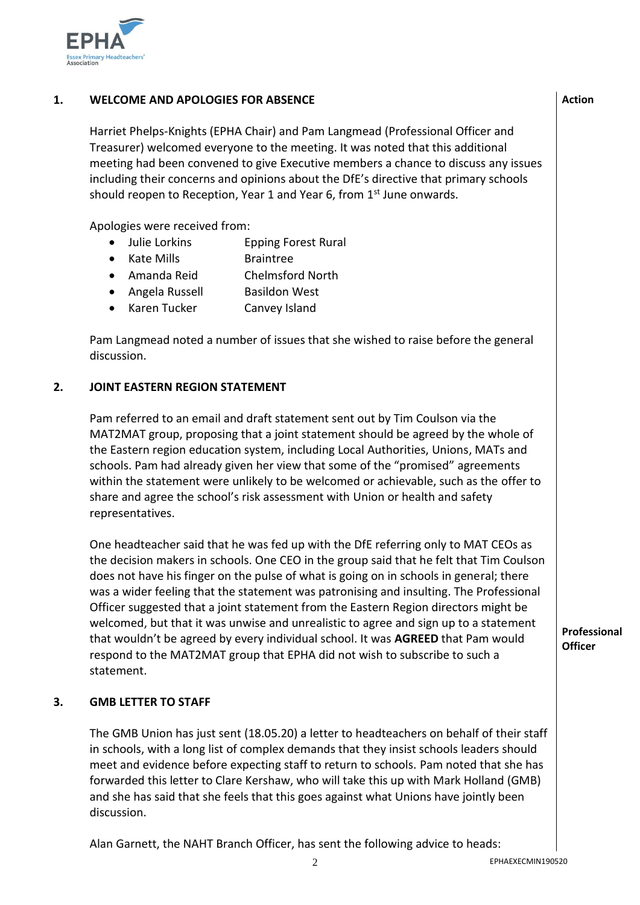

## **1. WELCOME AND APOLOGIES FOR ABSENCE**

Harriet Phelps-Knights (EPHA Chair) and Pam Langmead (Professional Officer and Treasurer) welcomed everyone to the meeting. It was noted that this additional meeting had been convened to give Executive members a chance to discuss any issues including their concerns and opinions about the DfE's directive that primary schools should reopen to Reception, Year 1 and Year 6, from  $1<sup>st</sup>$  June onwards.

Apologies were received from:

- Julie Lorkins Epping Forest Rural
- Kate Mills Braintree
- Amanda Reid Chelmsford North
- Angela Russell Basildon West
- Karen Tucker Canvey Island

Pam Langmead noted a number of issues that she wished to raise before the general discussion.

#### **2. JOINT EASTERN REGION STATEMENT**

Pam referred to an email and draft statement sent out by Tim Coulson via the MAT2MAT group, proposing that a joint statement should be agreed by the whole of the Eastern region education system, including Local Authorities, Unions, MATs and schools. Pam had already given her view that some of the "promised" agreements within the statement were unlikely to be welcomed or achievable, such as the offer to share and agree the school's risk assessment with Union or health and safety representatives.

One headteacher said that he was fed up with the DfE referring only to MAT CEOs as the decision makers in schools. One CEO in the group said that he felt that Tim Coulson does not have his finger on the pulse of what is going on in schools in general; there was a wider feeling that the statement was patronising and insulting. The Professional Officer suggested that a joint statement from the Eastern Region directors might be welcomed, but that it was unwise and unrealistic to agree and sign up to a statement that wouldn't be agreed by every individual school. It was **AGREED** that Pam would respond to the MAT2MAT group that EPHA did not wish to subscribe to such a statement.

#### **3. GMB LETTER TO STAFF**

The GMB Union has just sent (18.05.20) a letter to headteachers on behalf of their staff in schools, with a long list of complex demands that they insist schools leaders should meet and evidence before expecting staff to return to schools. Pam noted that she has forwarded this letter to Clare Kershaw, who will take this up with Mark Holland (GMB) and she has said that she feels that this goes against what Unions have jointly been discussion.

Alan Garnett, the NAHT Branch Officer, has sent the following advice to heads:

**Professional Officer**

**Action**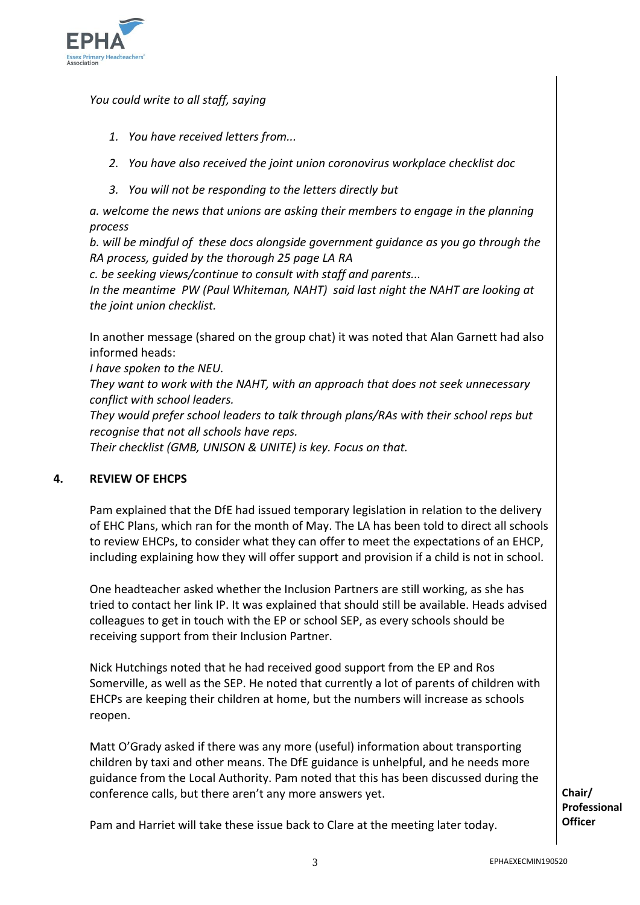

*You could write to all staff, saying*

- *1. You have received letters from...*
- *2. You have also received the joint union coronovirus workplace checklist doc*
- *3. You will not be responding to the letters directly but*

*a. welcome the news that unions are asking their members to engage in the planning process*

*b. will be mindful of these docs alongside government guidance as you go through the RA process, guided by the thorough 25 page LA RA*

*c. be seeking views/continue to consult with staff and parents...*

*In the meantime PW (Paul Whiteman, NAHT) said last night the NAHT are looking at the joint union checklist.*

In another message (shared on the group chat) it was noted that Alan Garnett had also informed heads:

*I have spoken to the NEU.*

*They want to work with the NAHT, with an approach that does not seek unnecessary conflict with school leaders.*

*They would prefer school leaders to talk through plans/RAs with their school reps but recognise that not all schools have reps.*

*Their checklist (GMB, UNISON & UNITE) is key. Focus on that.*

# **4. REVIEW OF EHCPS**

Pam explained that the DfE had issued temporary legislation in relation to the delivery of EHC Plans, which ran for the month of May. The LA has been told to direct all schools to review EHCPs, to consider what they can offer to meet the expectations of an EHCP, including explaining how they will offer support and provision if a child is not in school.

One headteacher asked whether the Inclusion Partners are still working, as she has tried to contact her link IP. It was explained that should still be available. Heads advised colleagues to get in touch with the EP or school SEP, as every schools should be receiving support from their Inclusion Partner.

Nick Hutchings noted that he had received good support from the EP and Ros Somerville, as well as the SEP. He noted that currently a lot of parents of children with EHCPs are keeping their children at home, but the numbers will increase as schools reopen.

Matt O'Grady asked if there was any more (useful) information about transporting children by taxi and other means. The DfE guidance is unhelpful, and he needs more guidance from the Local Authority. Pam noted that this has been discussed during the conference calls, but there aren't any more answers yet.

**Chair/ Professional Officer** 

Pam and Harriet will take these issue back to Clare at the meeting later today.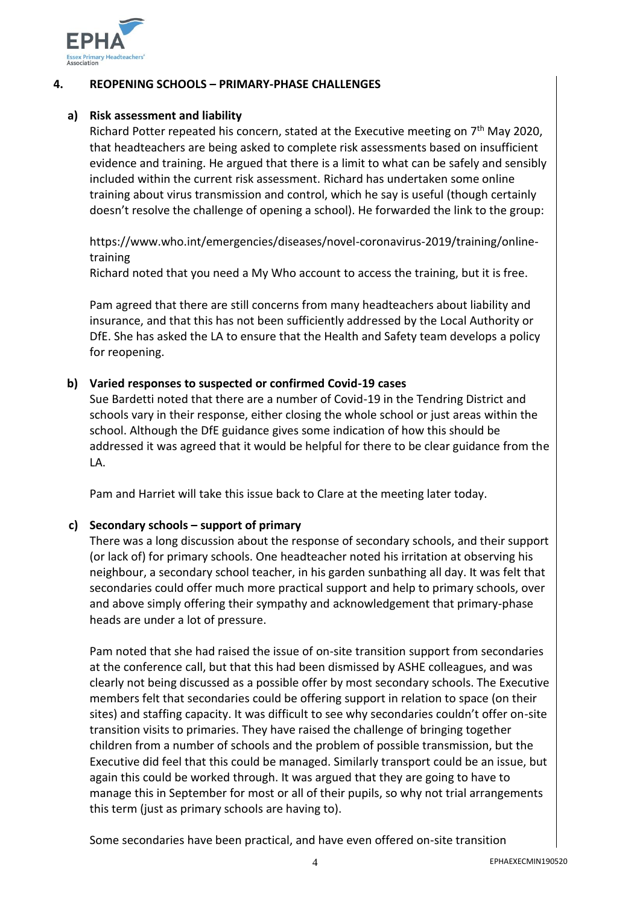

#### **4. REOPENING SCHOOLS – PRIMARY-PHASE CHALLENGES**

#### **a) Risk assessment and liability**

Richard Potter repeated his concern, stated at the Executive meeting on  $7<sup>th</sup>$  May 2020, that headteachers are being asked to complete risk assessments based on insufficient evidence and training. He argued that there is a limit to what can be safely and sensibly included within the current risk assessment. Richard has undertaken some online training about virus transmission and control, which he say is useful (though certainly doesn't resolve the challenge of opening a school). He forwarded the link to the group:

https://www.who.int/emergencies/diseases/novel-coronavirus-2019/training/onlinetraining

Richard noted that you need a My Who account to access the training, but it is free.

Pam agreed that there are still concerns from many headteachers about liability and insurance, and that this has not been sufficiently addressed by the Local Authority or DfE. She has asked the LA to ensure that the Health and Safety team develops a policy for reopening.

## **b) Varied responses to suspected or confirmed Covid-19 cases**

Sue Bardetti noted that there are a number of Covid-19 in the Tendring District and schools vary in their response, either closing the whole school or just areas within the school. Although the DfE guidance gives some indication of how this should be addressed it was agreed that it would be helpful for there to be clear guidance from the LA.

Pam and Harriet will take this issue back to Clare at the meeting later today.

# **c) Secondary schools – support of primary**

There was a long discussion about the response of secondary schools, and their support (or lack of) for primary schools. One headteacher noted his irritation at observing his neighbour, a secondary school teacher, in his garden sunbathing all day. It was felt that secondaries could offer much more practical support and help to primary schools, over and above simply offering their sympathy and acknowledgement that primary-phase heads are under a lot of pressure.

Pam noted that she had raised the issue of on-site transition support from secondaries at the conference call, but that this had been dismissed by ASHE colleagues, and was clearly not being discussed as a possible offer by most secondary schools. The Executive members felt that secondaries could be offering support in relation to space (on their sites) and staffing capacity. It was difficult to see why secondaries couldn't offer on-site transition visits to primaries. They have raised the challenge of bringing together children from a number of schools and the problem of possible transmission, but the Executive did feel that this could be managed. Similarly transport could be an issue, but again this could be worked through. It was argued that they are going to have to manage this in September for most or all of their pupils, so why not trial arrangements this term (just as primary schools are having to).

Some secondaries have been practical, and have even offered on-site transition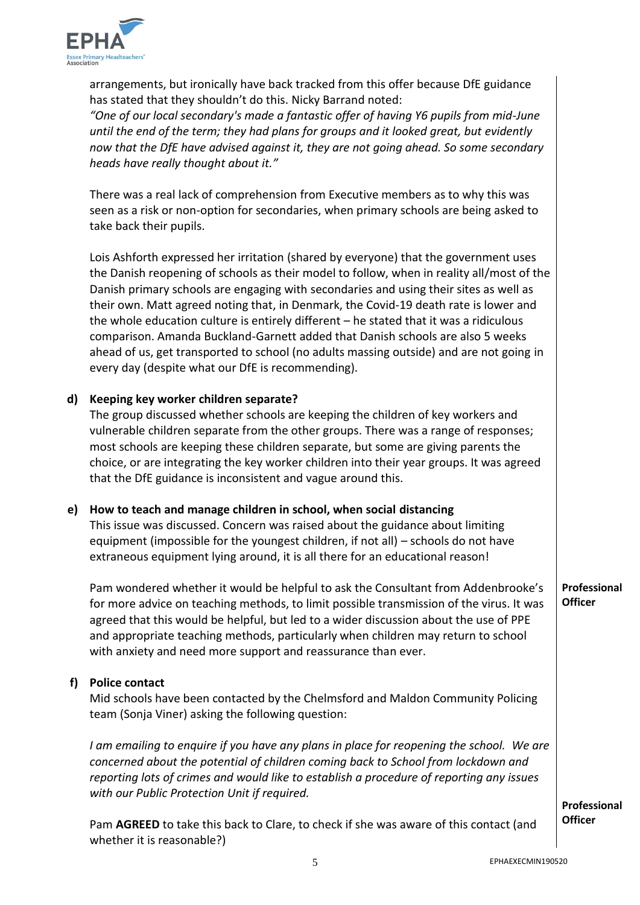

arrangements, but ironically have back tracked from this offer because DfE guidance has stated that they shouldn't do this. Nicky Barrand noted:

*"One of our local secondary's made a fantastic offer of having Y6 pupils from mid-June until the end of the term; they had plans for groups and it looked great, but evidently now that the DfE have advised against it, they are not going ahead. So some secondary heads have really thought about it."*

There was a real lack of comprehension from Executive members as to why this was seen as a risk or non-option for secondaries, when primary schools are being asked to take back their pupils.

Lois Ashforth expressed her irritation (shared by everyone) that the government uses the Danish reopening of schools as their model to follow, when in reality all/most of the Danish primary schools are engaging with secondaries and using their sites as well as their own. Matt agreed noting that, in Denmark, the Covid-19 death rate is lower and the whole education culture is entirely different – he stated that it was a ridiculous comparison. Amanda Buckland-Garnett added that Danish schools are also 5 weeks ahead of us, get transported to school (no adults massing outside) and are not going in every day (despite what our DfE is recommending).

#### **d) Keeping key worker children separate?**

The group discussed whether schools are keeping the children of key workers and vulnerable children separate from the other groups. There was a range of responses; most schools are keeping these children separate, but some are giving parents the choice, or are integrating the key worker children into their year groups. It was agreed that the DfE guidance is inconsistent and vague around this.

# **e) How to teach and manage children in school, when social distancing**

This issue was discussed. Concern was raised about the guidance about limiting equipment (impossible for the youngest children, if not all) – schools do not have extraneous equipment lying around, it is all there for an educational reason!

Pam wondered whether it would be helpful to ask the Consultant from Addenbrooke's for more advice on teaching methods, to limit possible transmission of the virus. It was agreed that this would be helpful, but led to a wider discussion about the use of PPE and appropriate teaching methods, particularly when children may return to school with anxiety and need more support and reassurance than ever. **Professional Officer** 

### **f) Police contact**

Mid schools have been contacted by the Chelmsford and Maldon Community Policing team (Sonja Viner) asking the following question:

*I am emailing to enquire if you have any plans in place for reopening the school. We are concerned about the potential of children coming back to School from lockdown and reporting lots of crimes and would like to establish a procedure of reporting any issues with our Public Protection Unit if required.*

> **Professional Officer**

Pam **AGREED** to take this back to Clare, to check if she was aware of this contact (and whether it is reasonable?)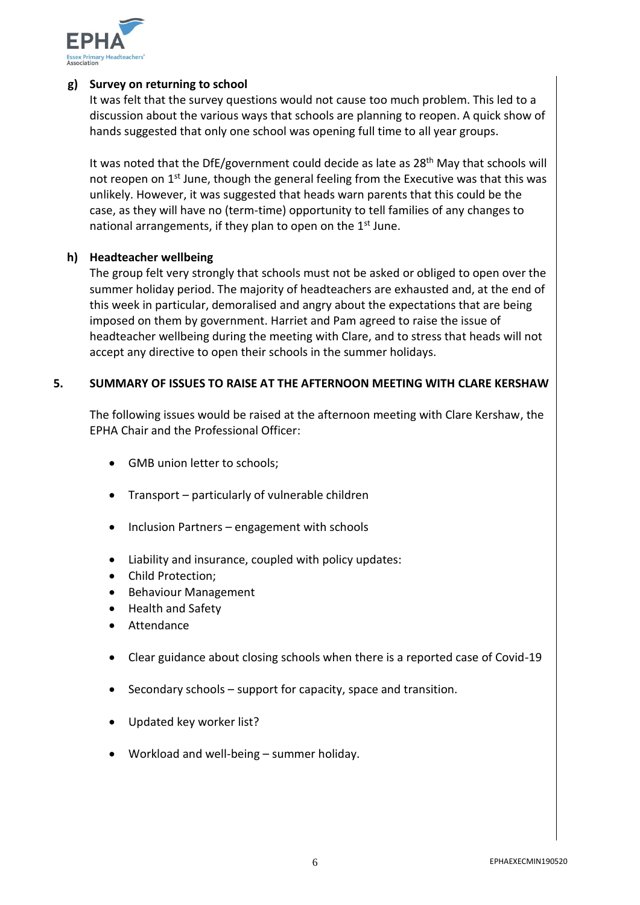

## **g) Survey on returning to school**

It was felt that the survey questions would not cause too much problem. This led to a discussion about the various ways that schools are planning to reopen. A quick show of hands suggested that only one school was opening full time to all year groups.

It was noted that the DfE/government could decide as late as 28<sup>th</sup> May that schools will not reopen on  $1<sup>st</sup>$  June, though the general feeling from the Executive was that this was unlikely. However, it was suggested that heads warn parents that this could be the case, as they will have no (term-time) opportunity to tell families of any changes to national arrangements, if they plan to open on the 1<sup>st</sup> June.

#### **h) Headteacher wellbeing**

The group felt very strongly that schools must not be asked or obliged to open over the summer holiday period. The majority of headteachers are exhausted and, at the end of this week in particular, demoralised and angry about the expectations that are being imposed on them by government. Harriet and Pam agreed to raise the issue of headteacher wellbeing during the meeting with Clare, and to stress that heads will not accept any directive to open their schools in the summer holidays.

#### **5. SUMMARY OF ISSUES TO RAISE AT THE AFTERNOON MEETING WITH CLARE KERSHAW**

The following issues would be raised at the afternoon meeting with Clare Kershaw, the EPHA Chair and the Professional Officer:

- GMB union letter to schools;
- Transport particularly of vulnerable children
- Inclusion Partners engagement with schools
- Liability and insurance, coupled with policy updates:
- Child Protection:
- Behaviour Management
- Health and Safety
- Attendance
- Clear guidance about closing schools when there is a reported case of Covid-19
- $\bullet$  Secondary schools support for capacity, space and transition.
- Updated key worker list?
- Workload and well-being summer holiday.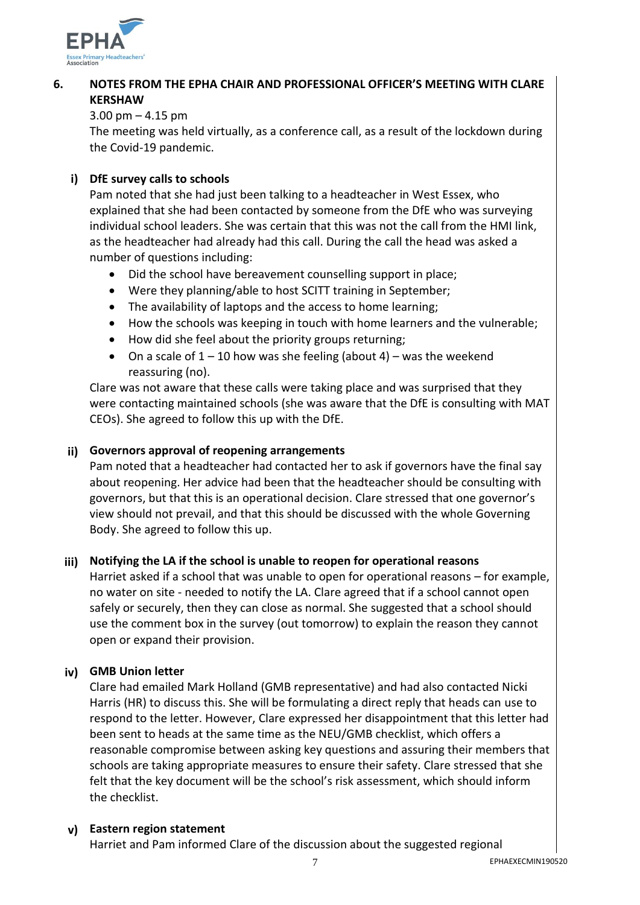

#### **6. NOTES FROM THE EPHA CHAIR AND PROFESSIONAL OFFICER'S MEETING WITH CLARE KERSHAW**

# 3.00 pm – 4.15 pm

The meeting was held virtually, as a conference call, as a result of the lockdown during the Covid-19 pandemic.

# **i) DfE survey calls to schools**

Pam noted that she had just been talking to a headteacher in West Essex, who explained that she had been contacted by someone from the DfE who was surveying individual school leaders. She was certain that this was not the call from the HMI link, as the headteacher had already had this call. During the call the head was asked a number of questions including:

- Did the school have bereavement counselling support in place;
- Were they planning/able to host SCITT training in September;
- The availability of laptops and the access to home learning;
- How the schools was keeping in touch with home learners and the vulnerable;
- How did she feel about the priority groups returning;
- On a scale of  $1 10$  how was she feeling (about 4) was the weekend reassuring (no).

Clare was not aware that these calls were taking place and was surprised that they were contacting maintained schools (she was aware that the DfE is consulting with MAT CEOs). She agreed to follow this up with the DfE.

# **ii) Governors approval of reopening arrangements**

Pam noted that a headteacher had contacted her to ask if governors have the final say about reopening. Her advice had been that the headteacher should be consulting with governors, but that this is an operational decision. Clare stressed that one governor's view should not prevail, and that this should be discussed with the whole Governing Body. She agreed to follow this up.

# **iii) Notifying the LA if the school is unable to reopen for operational reasons**

Harriet asked if a school that was unable to open for operational reasons – for example, no water on site - needed to notify the LA. Clare agreed that if a school cannot open safely or securely, then they can close as normal. She suggested that a school should use the comment box in the survey (out tomorrow) to explain the reason they cannot open or expand their provision.

# **iv) GMB Union letter**

Clare had emailed Mark Holland (GMB representative) and had also contacted Nicki Harris (HR) to discuss this. She will be formulating a direct reply that heads can use to respond to the letter. However, Clare expressed her disappointment that this letter had been sent to heads at the same time as the NEU/GMB checklist, which offers a reasonable compromise between asking key questions and assuring their members that schools are taking appropriate measures to ensure their safety. Clare stressed that she felt that the key document will be the school's risk assessment, which should inform the checklist.

# **v) Eastern region statement**

Harriet and Pam informed Clare of the discussion about the suggested regional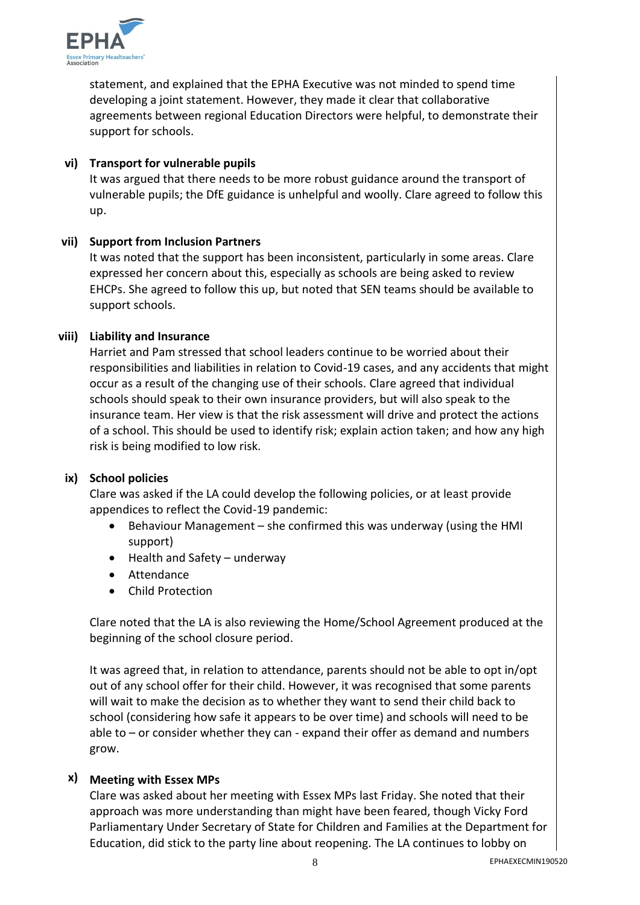

statement, and explained that the EPHA Executive was not minded to spend time developing a joint statement. However, they made it clear that collaborative agreements between regional Education Directors were helpful, to demonstrate their support for schools.

# **vi) Transport for vulnerable pupils**

It was argued that there needs to be more robust guidance around the transport of vulnerable pupils; the DfE guidance is unhelpful and woolly. Clare agreed to follow this up.

### **vii) Support from Inclusion Partners**

It was noted that the support has been inconsistent, particularly in some areas. Clare expressed her concern about this, especially as schools are being asked to review EHCPs. She agreed to follow this up, but noted that SEN teams should be available to support schools.

# **viii) Liability and Insurance**

Harriet and Pam stressed that school leaders continue to be worried about their responsibilities and liabilities in relation to Covid-19 cases, and any accidents that might occur as a result of the changing use of their schools. Clare agreed that individual schools should speak to their own insurance providers, but will also speak to the insurance team. Her view is that the risk assessment will drive and protect the actions of a school. This should be used to identify risk; explain action taken; and how any high risk is being modified to low risk.

#### **ix) School policies**

Clare was asked if the LA could develop the following policies, or at least provide appendices to reflect the Covid-19 pandemic:

- Behaviour Management she confirmed this was underway (using the HMI support)
- Health and Safety underway
- Attendance
- Child Protection

Clare noted that the LA is also reviewing the Home/School Agreement produced at the beginning of the school closure period.

It was agreed that, in relation to attendance, parents should not be able to opt in/opt out of any school offer for their child. However, it was recognised that some parents will wait to make the decision as to whether they want to send their child back to school (considering how safe it appears to be over time) and schools will need to be able to – or consider whether they can - expand their offer as demand and numbers grow.

# **x) Meeting with Essex MPs**

Clare was asked about her meeting with Essex MPs last Friday. She noted that their approach was more understanding than might have been feared, though Vicky Ford Parliamentary Under Secretary of State for Children and Families at the Department for Education, did stick to the party line about reopening. The LA continues to lobby on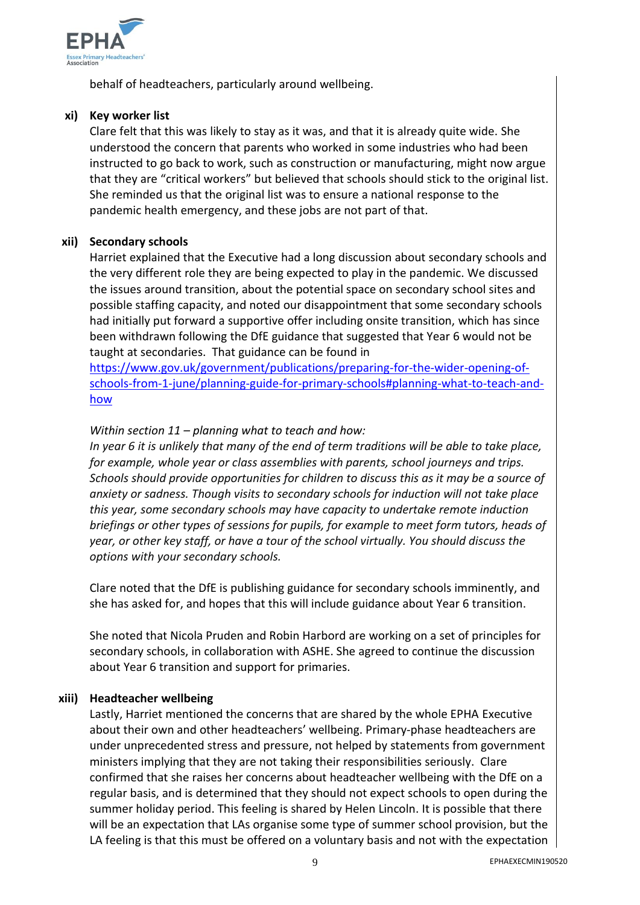

behalf of headteachers, particularly around wellbeing.

## **xi) Key worker list**

Clare felt that this was likely to stay as it was, and that it is already quite wide. She understood the concern that parents who worked in some industries who had been instructed to go back to work, such as construction or manufacturing, might now argue that they are "critical workers" but believed that schools should stick to the original list. She reminded us that the original list was to ensure a national response to the pandemic health emergency, and these jobs are not part of that.

### **xii) Secondary schools**

Harriet explained that the Executive had a long discussion about secondary schools and the very different role they are being expected to play in the pandemic. We discussed the issues around transition, about the potential space on secondary school sites and possible staffing capacity, and noted our disappointment that some secondary schools had initially put forward a supportive offer including onsite transition, which has since been withdrawn following the DfE guidance that suggested that Year 6 would not be taught at secondaries. That guidance can be found in

[https://www.gov.uk/government/publications/preparing-for-the-wider-opening-of](https://eur02.safelinks.protection.outlook.com/?url=https%3A%2F%2Fwww.gov.uk%2Fgovernment%2Fpublications%2Fpreparing-for-the-wider-opening-of-schools-from-1-june%2Fplanning-guide-for-primary-schools%23planning-what-to-teach-and-how&data=02%7C01%7C%7C0257d8e333a8482ddd6c08d7fc111735%7Ca8b4324f155c4215a0f17ed8cc9a992f%7C0%7C0%7C637255022639936944&sdata=vtcyg1r3WVHXMi3a%2FTv0LtmylY7jOBpM6cTYavIb0kY%3D&reserved=0)[schools-from-1-june/planning-guide-for-primary-schools#planning-what-to-teach-and](https://eur02.safelinks.protection.outlook.com/?url=https%3A%2F%2Fwww.gov.uk%2Fgovernment%2Fpublications%2Fpreparing-for-the-wider-opening-of-schools-from-1-june%2Fplanning-guide-for-primary-schools%23planning-what-to-teach-and-how&data=02%7C01%7C%7C0257d8e333a8482ddd6c08d7fc111735%7Ca8b4324f155c4215a0f17ed8cc9a992f%7C0%7C0%7C637255022639936944&sdata=vtcyg1r3WVHXMi3a%2FTv0LtmylY7jOBpM6cTYavIb0kY%3D&reserved=0)[how](https://eur02.safelinks.protection.outlook.com/?url=https%3A%2F%2Fwww.gov.uk%2Fgovernment%2Fpublications%2Fpreparing-for-the-wider-opening-of-schools-from-1-june%2Fplanning-guide-for-primary-schools%23planning-what-to-teach-and-how&data=02%7C01%7C%7C0257d8e333a8482ddd6c08d7fc111735%7Ca8b4324f155c4215a0f17ed8cc9a992f%7C0%7C0%7C637255022639936944&sdata=vtcyg1r3WVHXMi3a%2FTv0LtmylY7jOBpM6cTYavIb0kY%3D&reserved=0)

# *Within section 11 – planning what to teach and how:*

*In year 6 it is unlikely that many of the end of term traditions will be able to take place, for example, whole year or class assemblies with parents, school journeys and trips. Schools should provide opportunities for children to discuss this as it may be a source of anxiety or sadness. Though visits to secondary schools for induction will not take place this year, some secondary schools may have capacity to undertake remote induction briefings or other types of sessions for pupils, for example to meet form tutors, heads of year, or other key staff, or have a tour of the school virtually. You should discuss the options with your secondary schools.*

Clare noted that the DfE is publishing guidance for secondary schools imminently, and she has asked for, and hopes that this will include guidance about Year 6 transition.

She noted that Nicola Pruden and Robin Harbord are working on a set of principles for secondary schools, in collaboration with ASHE. She agreed to continue the discussion about Year 6 transition and support for primaries.

# **xiii) Headteacher wellbeing**

Lastly, Harriet mentioned the concerns that are shared by the whole EPHA Executive about their own and other headteachers' wellbeing. Primary-phase headteachers are under unprecedented stress and pressure, not helped by statements from government ministers implying that they are not taking their responsibilities seriously. Clare confirmed that she raises her concerns about headteacher wellbeing with the DfE on a regular basis, and is determined that they should not expect schools to open during the summer holiday period. This feeling is shared by Helen Lincoln. It is possible that there will be an expectation that LAs organise some type of summer school provision, but the LA feeling is that this must be offered on a voluntary basis and not with the expectation